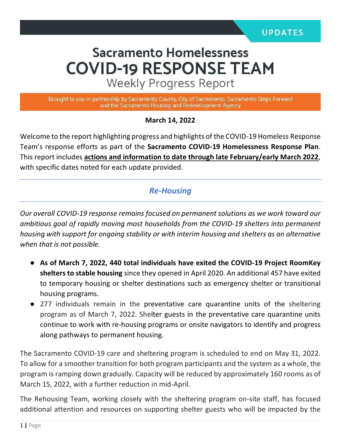# **Sacramento Homelessness COVID-19 RESPONSE TEAM**

**Weekly Progress Report** 

Brought to you in partnership by Sacramento County, City of Sacramento, Sacramento Steps Forward and the Sacramento Housing and Redevelopment Agency

#### **March 14, 2022**

Welcome to the report highlighting progress and highlights of the COVID-19 Homeless Response Team's response efforts as part of the **Sacramento COVID-19 Homelessness Response Plan**. This report includes **actions and information to date through late February/early March 2022**, with specific dates noted for each update provided.

#### *Re-Housing*

*Our overall COVID-19 response remains focused on permanent solutions as we work toward our ambitious goal of rapidly moving most households from the COVID-19 shelters into permanent housing with support for ongoing stability or with interim housing and shelters as an alternative when that is not possible.* 

- **As of March 7, 2022, 440 total individuals have exited the COVID-19 Project RoomKey shelters to stable housing** since they opened in April 2020. An additional 457 have exited to temporary housing or shelter destinations such as emergency shelter or transitional housing programs.
- 277 individuals remain in the preventative care quarantine units of the sheltering program as of March 7, 2022. Shelter guests in the preventative care quarantine units continue to work with re-housing programs or onsite navigators to identify and progress along pathways to permanent housing.

The Sacramento COVID-19 care and sheltering program is scheduled to end on May 31, 2022. To allow for a smoother transition for both program participants and the system as a whole, the program is ramping down gradually. Capacity will be reduced by approximately 160 rooms as of March 15, 2022, with a further reduction in mid-April.

The Rehousing Team, working closely with the sheltering program on-site staff, has focused additional attention and resources on supporting shelter guests who will be impacted by the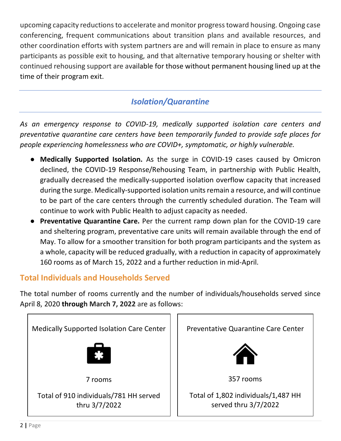upcoming capacity reductions to accelerate and monitor progress toward housing. Ongoing case conferencing, frequent communications about transition plans and available resources, and other coordination efforts with system partners are and will remain in place to ensure as many participants as possible exit to housing, and that alternative temporary housing or shelter with continued rehousing support are available for those without permanent housing lined up at the time of their program exit.

## *Isolation/Quarantine*

*As an emergency response to COVID-19, medically supported isolation care centers and preventative quarantine care centers have been temporarily funded to provide safe places for people experiencing homelessness who are COVID+, symptomatic, or highly vulnerable.*

- **Medically Supported Isolation.** As the surge in COVID-19 cases caused by Omicron declined, the COVID-19 Response/Rehousing Team, in partnership with Public Health, gradually decreased the medically-supported isolation overflow capacity that increased during the surge. Medically-supported isolation units remain a resource, and will continue to be part of the care centers through the currently scheduled duration. The Team will continue to work with Public Health to adjust capacity as needed.
- **Preventative Quarantine Care.** Per the current ramp down plan for the COVID-19 care and sheltering program, preventative care units will remain available through the end of May. To allow for a smoother transition for both program participants and the system as a whole, capacity will be reduced gradually, with a reduction in capacity of approximately 160 rooms as of March 15, 2022 and a further reduction in mid-April.

### **Total Individuals and Households Served**

The total number of rooms currently and the number of individuals/households served since April 8, 2020 **through March 7, 2022** are as follows:

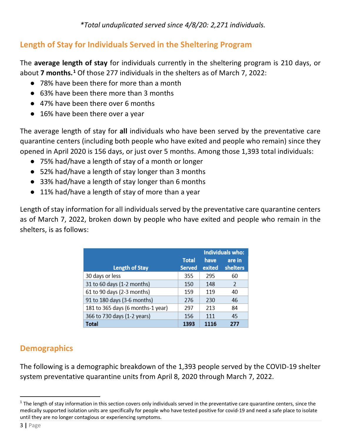*\*Total unduplicated served since 4/8/20: 2,271 individuals.* 

#### **Length of Stay for Individuals Served in the Sheltering Program**

The **average length of stay** for individuals currently in the sheltering program is 210 days, or about **7 months.[1](#page-2-0)** Of those 277 individuals in the shelters as of March 7, 2022:

- 78% have been there for more than a month
- 63% have been there more than 3 months
- 47% have been there over 6 months
- 16% have been there over a year

The average length of stay for **all** individuals who have been served by the preventative care quarantine centers (including both people who have exited and people who remain) since they opened in April 2020 is 156 days, or just over 5 months. Among those 1,393 total individuals:

- 75% had/have a length of stay of a month or longer
- 52% had/have a length of stay longer than 3 months
- 33% had/have a length of stay longer than 6 months
- 11% had/have a length of stay of more than a year

Length of stay information for all individuals served by the preventative care quarantine centers as of March 7, 2022, broken down by people who have exited and people who remain in the shelters, is as follows:

|                                   |               | <b>Individuals who:</b> |               |
|-----------------------------------|---------------|-------------------------|---------------|
|                                   | <b>Total</b>  | have                    | are in        |
| <b>Length of Stay</b>             | <b>Served</b> | exited                  | shelters      |
| 30 days or less                   | 355           | 295                     | 60            |
| 31 to 60 days (1-2 months)        | 150           | 148                     | $\mathcal{L}$ |
| 61 to 90 days (2-3 months)        | 159           | 119                     | 40            |
| 91 to 180 days (3-6 months)       | 276           | 230                     | 46            |
| 181 to 365 days (6 months-1 year) | 297           | 213                     | 84            |
| 366 to 730 days (1-2 years)       | 156           | 111                     | 45            |
| Total                             | 1393          | 1116                    | 277           |

## **Demographics**

The following is a demographic breakdown of the 1,393 people served by the COVID-19 shelter system preventative quarantine units from April 8, 2020 through March 7, 2022.

<span id="page-2-0"></span> $1$  The length of stay information in this section covers only individuals served in the preventative care quarantine centers, since the medically supported isolation units are specifically for people who have tested positive for covid-19 and need a safe place to isolate until they are no longer contagious or experiencing symptoms.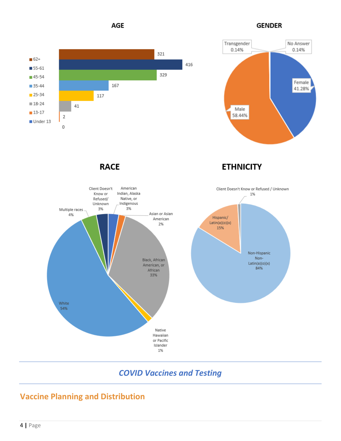**AGE** 

**GENDER** 





**RACE** 

**ETHNICITY** 



## *COVID Vaccines and Testing*

## **Vaccine Planning and Distribution**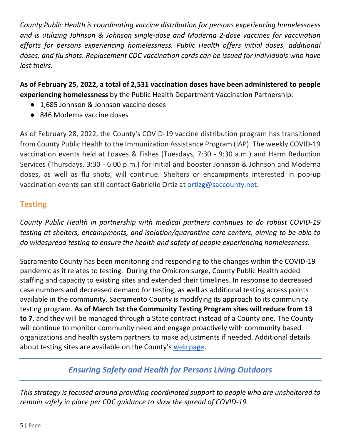*County Public Health is coordinating vaccine distribution for persons experiencing homelessness and is utilizing Johnson & Johnson single-dose and Moderna 2-dose vaccines for vaccination efforts for persons experiencing homelessness. Public Health offers initial doses, additional doses, and flu shots. Replacement CDC vaccination cards can be issued for individuals who have lost theirs.* 

**As of February 25, 2022, a total of 2,531 vaccination doses have been administered to people experiencing homelessness** by the Public Health Department Vaccination Partnership:

- 1,685 Johnson & Johnson vaccine doses
- 846 Moderna vaccine doses

As of February 28, 2022, the County's COVID-19 vaccine distribution program has transitioned from County Public Health to the Immunization Assistance Program (IAP). The weekly COVID-19 vaccination events held at Loaves & Fishes (Tuesdays, 7:30 - 9:30 a.m.) and Harm Reduction Services (Thursdays, 3:30 - 6:00 p.m.) for initial and booster Johnson & Johnson and Moderna doses, as well as flu shots, will continue. Shelters or encampments interested in pop-up vaccination events can still contact Gabrielle Ortiz at ortizg@saccounty.net.

#### **Testing**

*County Public Health in partnership with medical partners continues to do robust COVID-19 testing at shelters, encampments, and isolation/quarantine care centers, aiming to be able to do widespread testing to ensure the health and safety of people experiencing homelessness.* 

Sacramento County has been monitoring and responding to the changes within the COVID-19 pandemic as it relates to testing. During the Omicron surge, County Public Health added staffing and capacity to existing sites and extended their timelines. In response to decreased case numbers and decreased demand for testing, as well as additional testing access points available in the community, Sacramento County is modifying its approach to its community testing program. **As of March 1st the Community Testing Program sites will reduce from 13 to 7**, and they will be managed through a State contract instead of a County one. The County will continue to monitor community need and engage proactively with community based organizations and health system partners to make adjustments if needed. Additional details about testing sites are available on the County's [web page.](https://www.saccounty.gov/COVID-19/Pages/Symptom-Screening_MobileTestingSite.aspx)

## *Ensuring Safety and Health for Persons Living Outdoors*

*This strategy is focused around providing coordinated support to people who are unsheltered to remain safely in place per CDC guidance to slow the spread of COVID-19.*